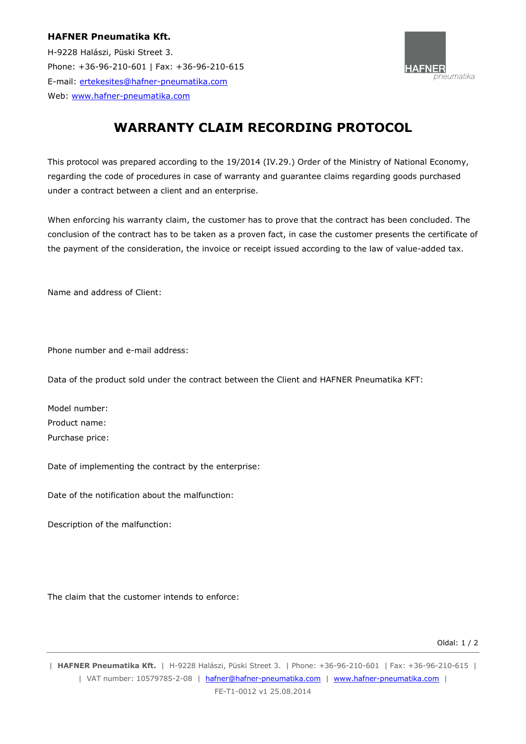## **HAFNER Pneumatika Kft.**

H-9228 Halászi, Püski Street 3. Phone: +36-96-210-601 | Fax: +36-96-210-615 E-mail: ertekesites@hafner-pneumatika.com Web: www.hafner-pneumatika.com



## **WARRANTY CLAIM RECORDING PROTOCOL**

This protocol was prepared according to the 19/2014 (IV.29.) Order of the Ministry of National Economy, regarding the code of procedures in case of warranty and guarantee claims regarding goods purchased under a contract between a client and an enterprise.

When enforcing his warranty claim, the customer has to prove that the contract has been concluded. The conclusion of the contract has to be taken as a proven fact, in case the customer presents the certificate of the payment of the consideration, the invoice or receipt issued according to the law of value-added tax.

Name and address of Client:

Phone number and e-mail address:

Data of the product sold under the contract between the Client and HAFNER Pneumatika KFT:

Model number: Product name: Purchase price:

Date of implementing the contract by the enterprise:

Date of the notification about the malfunction:

Description of the malfunction:

The claim that the customer intends to enforce:

Oldal: 1 / 2

| **HAFNER Pneumatika Kft.** | H-9228 Halászi, Püski Street 3. | Phone: +36-96-210-601 | Fax: +36-96-210-615 | | VAT number: 10579785-2-08 | hafner@hafner-pneumatika.com | www.hafner-pneumatika.com |